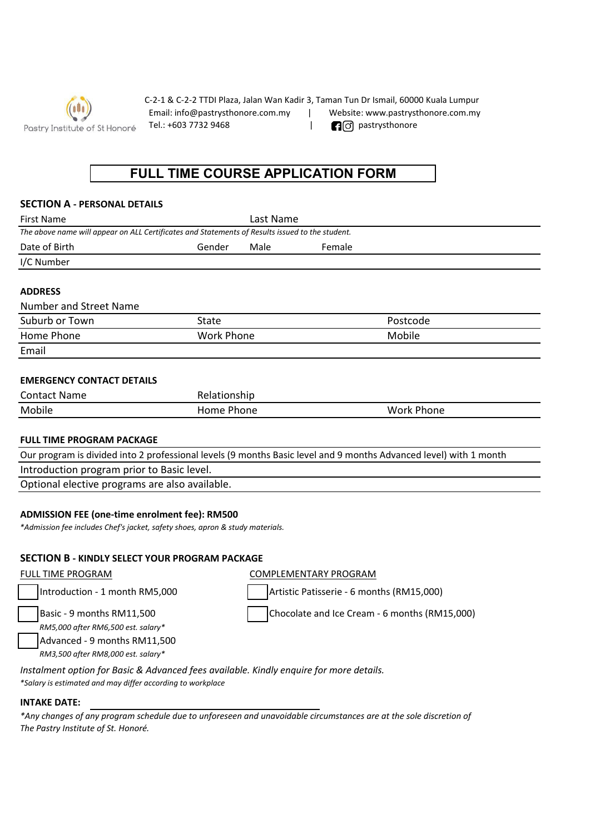

C-2-1 & C-2-2 TTDI Plaza, Jalan Wan Kadir 3, Taman Tun Dr Ismail, 60000 Kuala Lumpur Email: info@pastrysthonore.com.my | Website: www.pastrysthonore.com.my Tel.: +603 7732 9468 | **Pastrysthonore** 

# **FULL TIME COURSE APPLICATION FORM**

### **SECTION A - PERSONAL DETAILS**

| <b>First Name</b>                                                                                                 | Last Name         |      |          |                   |
|-------------------------------------------------------------------------------------------------------------------|-------------------|------|----------|-------------------|
| The above name will appear on ALL Certificates and Statements of Results issued to the student.                   |                   |      |          |                   |
| Date of Birth                                                                                                     | Gender            | Male | Female   |                   |
| I/C Number                                                                                                        |                   |      |          |                   |
| <b>ADDRESS</b>                                                                                                    |                   |      |          |                   |
| Number and Street Name                                                                                            |                   |      |          |                   |
| Suburb or Town                                                                                                    | State             |      | Postcode |                   |
| Home Phone                                                                                                        | <b>Work Phone</b> |      |          | Mobile            |
| Email                                                                                                             |                   |      |          |                   |
| <b>EMERGENCY CONTACT DETAILS</b>                                                                                  |                   |      |          |                   |
| <b>Contact Name</b>                                                                                               | Relationship      |      |          |                   |
| Mobile                                                                                                            | Home Phone        |      |          | <b>Work Phone</b> |
| <b>FULL TIME PROGRAM PACKAGE</b>                                                                                  |                   |      |          |                   |
| Our program is divided into 2 professional levels (9 months Basic level and 9 months Advanced level) with 1 month |                   |      |          |                   |

Introduction program prior to Basic level.

Optional elective programs are also available.

### **ADMISSION FEE (one-time enrolment fee): RM500**

*\*Admission fee includes Chef's jacket, safety shoes, apron & study materials.*

# **SECTION B - KINDLY SELECT YOUR PROGRAM PACKAGE**

| <b>FULL TIME PROGRAM</b>                                                                                                                              | COMPLEMENTARY PROGRAM                         |
|-------------------------------------------------------------------------------------------------------------------------------------------------------|-----------------------------------------------|
| Introduction - 1 month RM5,000                                                                                                                        | Artistic Patisserie - 6 months (RM15,000)     |
| Basic - 9 months RM11,500<br>RM5,000 after RM6,500 est. salary*<br>Advanced - 9 months RM11,500<br>RM3,500 after RM8,000 est. salary*                 | Chocolate and Ice Cream - 6 months (RM15,000) |
| Instalment option for Basic & Advanced fees available. Kindly enquire for more details.<br>*Salary is estimated and may differ according to workplace |                                               |

#### **INTAKE DATE:**

*The Pastry Institute of St. Honoré. \*Any changes of any program schedule due to unforeseen and unavoidable circumstances are at the sole discretion of*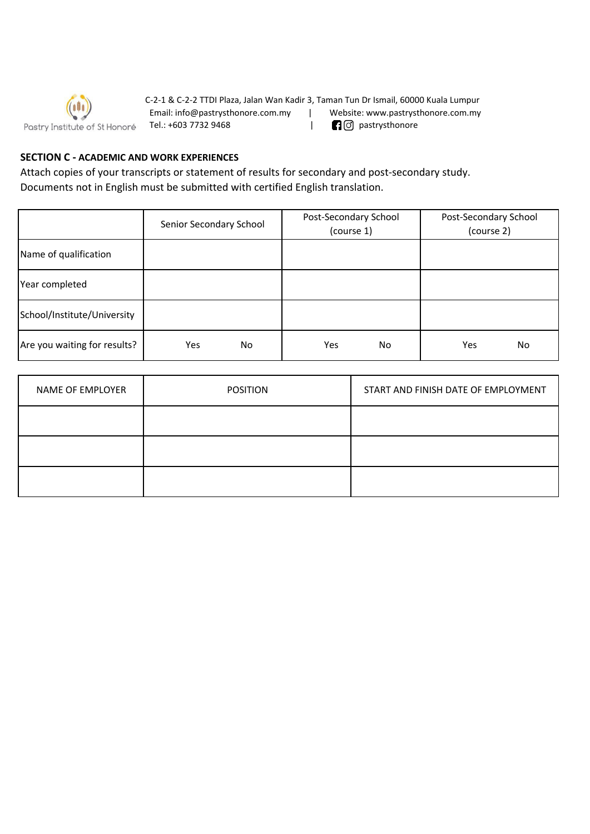

C-2-1 & C-2-2 TTDI Plaza, Jalan Wan Kadir 3, Taman Tun Dr Ismail, 60000 Kuala Lumpur Email: info@pastrysthonore.com.my | Website: www.pastrysthonore.com.my Tel.: +603 7732 9468 | pastrysthonore

# **SECTION C - ACADEMIC AND WORK EXPERIENCES**

Attach copies of your transcripts or statement of results for secondary and post-secondary study. Documents not in English must be submitted with certified English translation.

|                              | Senior Secondary School | Post-Secondary School<br>(course 1) | Post-Secondary School<br>(course 2) |
|------------------------------|-------------------------|-------------------------------------|-------------------------------------|
| Name of qualification        |                         |                                     |                                     |
| Year completed               |                         |                                     |                                     |
| School/Institute/University  |                         |                                     |                                     |
| Are you waiting for results? | Yes<br>No.              | No<br>Yes                           | No<br>Yes                           |

| NAME OF EMPLOYER | <b>POSITION</b> | START AND FINISH DATE OF EMPLOYMENT |
|------------------|-----------------|-------------------------------------|
|                  |                 |                                     |
|                  |                 |                                     |
|                  |                 |                                     |